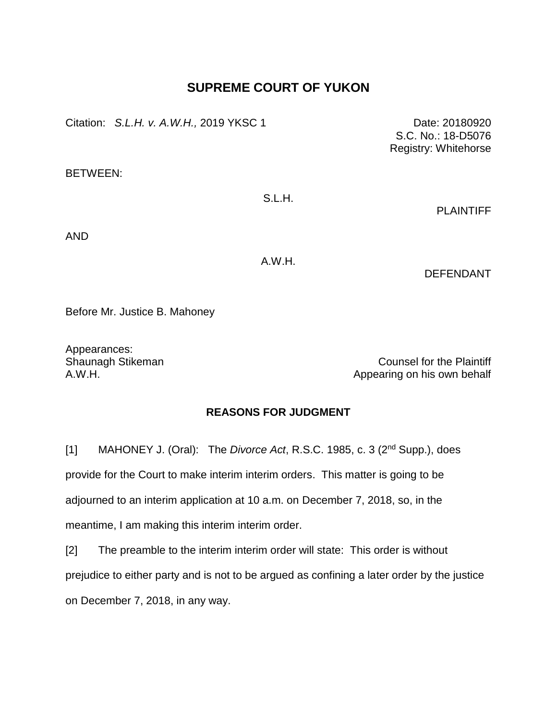## **SUPREME COURT OF YUKON**

Citation: *S.L.H. v. A.W.H.,* 2019 YKSC 1 Date: 20180920

BETWEEN:

S.L.H.

PLAINTIFF

S.C. No.: 18-D5076 Registry: Whitehorse

AND

A.W.H.

DEFENDANT

Before Mr. Justice B. Mahoney

Appearances:

Shaunagh Stikeman Counsel for the Plaintiff A.W.H. Appearing on his own behalf

## **REASONS FOR JUDGMENT**

[1] MAHONEY J. (Oral): The *Divorce Act*, R.S.C. 1985, c. 3 (2nd Supp.), does provide for the Court to make interim interim orders. This matter is going to be adjourned to an interim application at 10 a.m. on December 7, 2018, so, in the meantime, I am making this interim interim order.

[2] The preamble to the interim interim order will state: This order is without prejudice to either party and is not to be argued as confining a later order by the justice on December 7, 2018, in any way.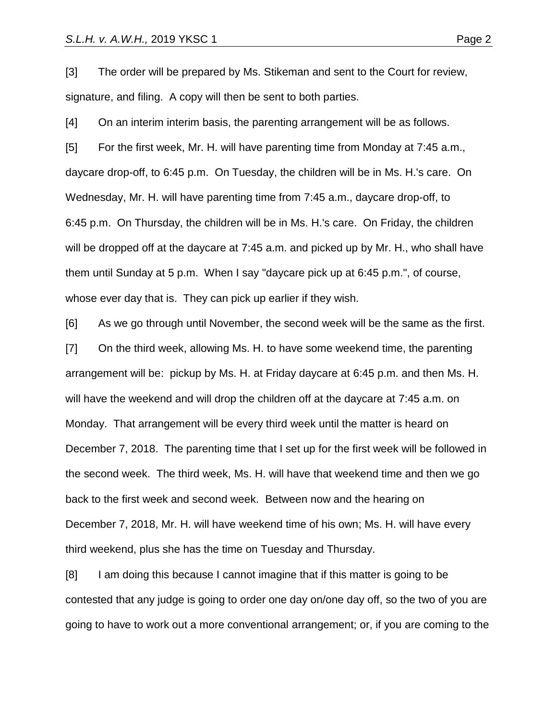[3] The order will be prepared by Ms. Stikeman and sent to the Court for review, signature, and filing. A copy will then be sent to both parties.

[4] On an interim interim basis, the parenting arrangement will be as follows. [5] For the first week, Mr. H. will have parenting time from Monday at 7:45 a.m., daycare drop-off, to 6:45 p.m. On Tuesday, the children will be in Ms. H.'s care. On Wednesday, Mr. H. will have parenting time from 7:45 a.m., daycare drop-off, to 6:45 p.m. On Thursday, the children will be in Ms. H.'s care. On Friday, the children will be dropped off at the daycare at 7:45 a.m. and picked up by Mr. H., who shall have them until Sunday at 5 p.m. When I say "daycare pick up at 6:45 p.m.", of course, whose ever day that is. They can pick up earlier if they wish.

[6] As we go through until November, the second week will be the same as the first. [7] On the third week, allowing Ms. H. to have some weekend time, the parenting arrangement will be: pickup by Ms. H. at Friday daycare at 6:45 p.m. and then Ms. H. will have the weekend and will drop the children off at the daycare at 7:45 a.m. on Monday. That arrangement will be every third week until the matter is heard on December 7, 2018. The parenting time that I set up for the first week will be followed in the second week. The third week, Ms. H. will have that weekend time and then we go back to the first week and second week. Between now and the hearing on December 7, 2018, Mr. H. will have weekend time of his own; Ms. H. will have every third weekend, plus she has the time on Tuesday and Thursday.

[8] I am doing this because I cannot imagine that if this matter is going to be contested that any judge is going to order one day on/one day off, so the two of you are going to have to work out a more conventional arrangement; or, if you are coming to the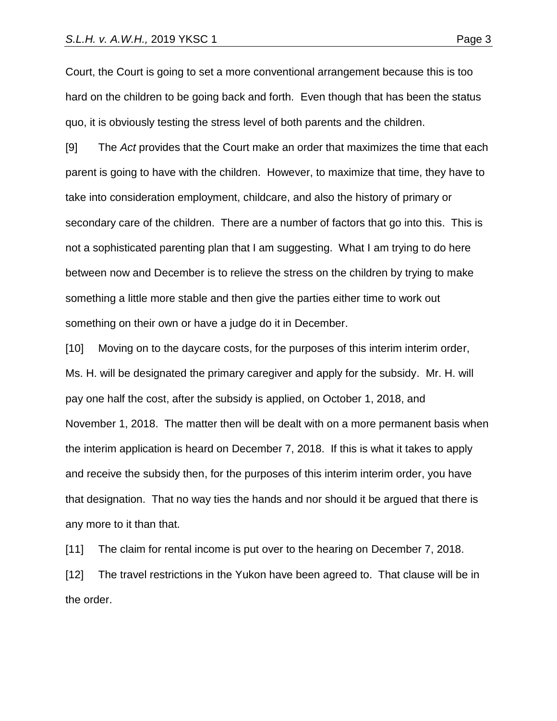Court, the Court is going to set a more conventional arrangement because this is too hard on the children to be going back and forth. Even though that has been the status quo, it is obviously testing the stress level of both parents and the children.

[9] The *Act* provides that the Court make an order that maximizes the time that each parent is going to have with the children. However, to maximize that time, they have to take into consideration employment, childcare, and also the history of primary or secondary care of the children. There are a number of factors that go into this. This is not a sophisticated parenting plan that I am suggesting. What I am trying to do here between now and December is to relieve the stress on the children by trying to make something a little more stable and then give the parties either time to work out something on their own or have a judge do it in December.

[10] Moving on to the daycare costs, for the purposes of this interim interim order, Ms. H. will be designated the primary caregiver and apply for the subsidy. Mr. H. will pay one half the cost, after the subsidy is applied, on October 1, 2018, and November 1, 2018. The matter then will be dealt with on a more permanent basis when the interim application is heard on December 7, 2018. If this is what it takes to apply and receive the subsidy then, for the purposes of this interim interim order, you have that designation. That no way ties the hands and nor should it be argued that there is any more to it than that.

[11] The claim for rental income is put over to the hearing on December 7, 2018.

[12] The travel restrictions in the Yukon have been agreed to. That clause will be in the order.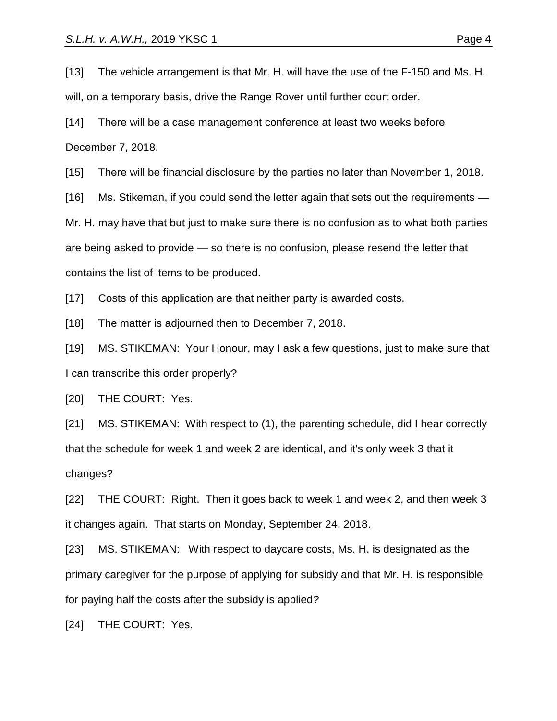[13] The vehicle arrangement is that Mr. H. will have the use of the F-150 and Ms. H.

will, on a temporary basis, drive the Range Rover until further court order.

[14] There will be a case management conference at least two weeks before December 7, 2018.

[15] There will be financial disclosure by the parties no later than November 1, 2018.

[16] Ms. Stikeman, if you could send the letter again that sets out the requirements —

Mr. H. may have that but just to make sure there is no confusion as to what both parties

are being asked to provide — so there is no confusion, please resend the letter that

contains the list of items to be produced.

[17] Costs of this application are that neither party is awarded costs.

[18] The matter is adjourned then to December 7, 2018.

[19] MS. STIKEMAN: Your Honour, may I ask a few questions, just to make sure that I can transcribe this order properly?

[20] THE COURT: Yes.

[21] MS. STIKEMAN: With respect to (1), the parenting schedule, did I hear correctly that the schedule for week 1 and week 2 are identical, and it's only week 3 that it changes?

[22] THE COURT: Right. Then it goes back to week 1 and week 2, and then week 3 it changes again. That starts on Monday, September 24, 2018.

[23] MS. STIKEMAN: With respect to daycare costs, Ms. H. is designated as the primary caregiver for the purpose of applying for subsidy and that Mr. H. is responsible for paying half the costs after the subsidy is applied?

[24] THE COURT: Yes.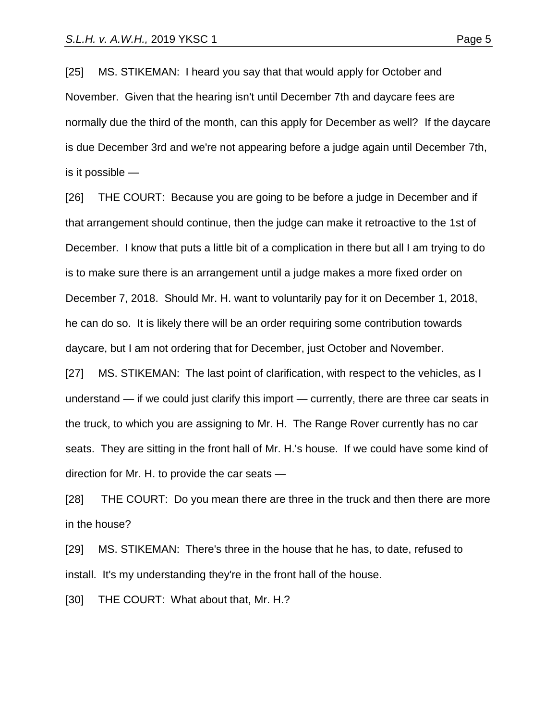[25] MS. STIKEMAN: I heard you say that that would apply for October and November. Given that the hearing isn't until December 7th and daycare fees are

normally due the third of the month, can this apply for December as well? If the daycare is due December 3rd and we're not appearing before a judge again until December 7th, is it possible —

[26] THE COURT: Because you are going to be before a judge in December and if that arrangement should continue, then the judge can make it retroactive to the 1st of December. I know that puts a little bit of a complication in there but all I am trying to do is to make sure there is an arrangement until a judge makes a more fixed order on December 7, 2018. Should Mr. H. want to voluntarily pay for it on December 1, 2018, he can do so. It is likely there will be an order requiring some contribution towards daycare, but I am not ordering that for December, just October and November.

[27] MS. STIKEMAN: The last point of clarification, with respect to the vehicles, as I understand — if we could just clarify this import — currently, there are three car seats in the truck, to which you are assigning to Mr. H. The Range Rover currently has no car seats. They are sitting in the front hall of Mr. H.'s house. If we could have some kind of direction for Mr. H. to provide the car seats —

[28] THE COURT: Do you mean there are three in the truck and then there are more in the house?

[29] MS. STIKEMAN: There's three in the house that he has, to date, refused to install. It's my understanding they're in the front hall of the house.

[30] THE COURT: What about that, Mr. H.?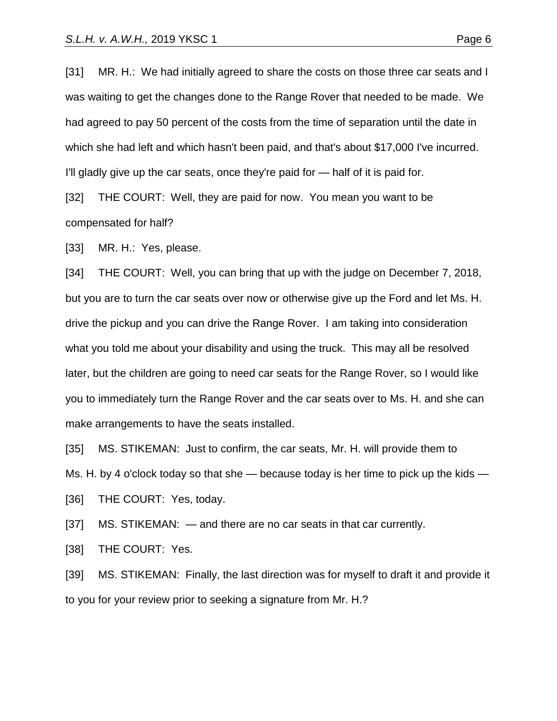[31] MR. H.: We had initially agreed to share the costs on those three car seats and I was waiting to get the changes done to the Range Rover that needed to be made. We had agreed to pay 50 percent of the costs from the time of separation until the date in which she had left and which hasn't been paid, and that's about \$17,000 I've incurred. I'll gladly give up the car seats, once they're paid for — half of it is paid for.

[32] THE COURT: Well, they are paid for now. You mean you want to be compensated for half?

[33] MR. H.: Yes, please.

[34] THE COURT: Well, you can bring that up with the judge on December 7, 2018, but you are to turn the car seats over now or otherwise give up the Ford and let Ms. H. drive the pickup and you can drive the Range Rover. I am taking into consideration what you told me about your disability and using the truck. This may all be resolved later, but the children are going to need car seats for the Range Rover, so I would like you to immediately turn the Range Rover and the car seats over to Ms. H. and she can make arrangements to have the seats installed.

[35] MS. STIKEMAN: Just to confirm, the car seats, Mr. H. will provide them to

Ms. H. by 4 o'clock today so that she  $-$  because today is her time to pick up the kids  $-$ 

[36] THE COURT: Yes, today.

[37] MS. STIKEMAN: — and there are no car seats in that car currently.

[38] THE COURT: Yes.

[39] MS. STIKEMAN: Finally, the last direction was for myself to draft it and provide it to you for your review prior to seeking a signature from Mr. H.?